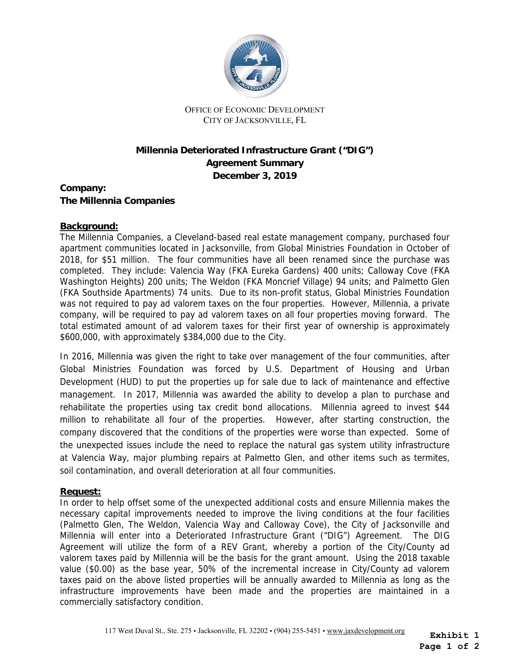

OFFICE OF ECONOMIC DEVELOPMENT CITY OF JACKSONVILLE, FL

## **Millennia Deteriorated Infrastructure Grant ("DIG") Agreement Summary December 3, 2019**

**Company: The Millennia Companies** 

## **Background:**

 completed. They include: Valencia Way (FKA Eureka Gardens) 400 units; Calloway Cove (FKA (FKA Southside Apartments) 74 units. Due to its non-profit status, Global Ministries Foundation The Millennia Companies, a Cleveland-based real estate management company, purchased four apartment communities located in Jacksonville, from Global Ministries Foundation in October of 2018, for \$51 million. The four communities have all been renamed since the purchase was Washington Heights) 200 units; The Weldon (FKA Moncrief Village) 94 units; and Palmetto Glen was not required to pay ad valorem taxes on the four properties. However, Millennia, a private company, will be required to pay ad valorem taxes on all four properties moving forward. The total estimated amount of ad valorem taxes for their first year of ownership is approximately \$600,000, with approximately \$384,000 due to the City.

In 2016, Millennia was given the right to take over management of the four communities, after Global Ministries Foundation was forced by U.S. Department of Housing and Urban Development (HUD) to put the properties up for sale due to lack of maintenance and effective management. In 2017, Millennia was awarded the ability to develop a plan to purchase and rehabilitate the properties using tax credit bond allocations. Millennia agreed to invest \$44 million to rehabilitate all four of the properties. However, after starting construction, the company discovered that the conditions of the properties were worse than expected. Some of the unexpected issues include the need to replace the natural gas system utility infrastructure at Valencia Way, major plumbing repairs at Palmetto Glen, and other items such as termites, soil contamination, and overall deterioration at all four communities.

## **Request:**

 commercially satisfactory condition. In order to help offset some of the unexpected additional costs and ensure Millennia makes the necessary capital improvements needed to improve the living conditions at the four facilities (Palmetto Glen, The Weldon, Valencia Way and Calloway Cove), the City of Jacksonville and Millennia will enter into a Deteriorated Infrastructure Grant ("DIG") Agreement. The DIG Agreement will utilize the form of a REV Grant, whereby a portion of the City/County ad valorem taxes paid by Millennia will be the basis for the grant amount. Using the 2018 taxable value (\$0.00) as the base year, 50% of the incremental increase in City/County ad valorem taxes paid on the above listed properties will be annually awarded to Millennia as long as the infrastructure improvements have been made and the properties are maintained in a